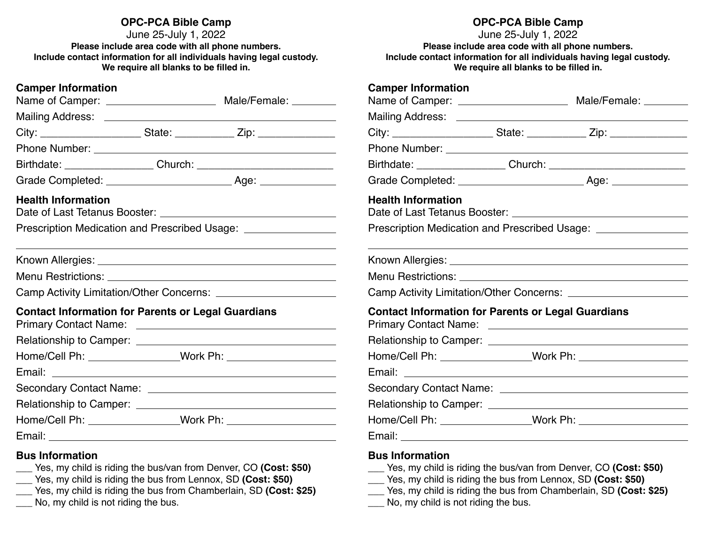# **OPC-PCA Bible Camp**

June 25-July 1, 2022 **Please include area code with all phone numbers. Include contact information for all individuals having legal custody. We require all blanks to be filled in.** 

| <b>Camper Information</b>                                         |  |                                                                                                                                                                                                                               |  |  |  |  |
|-------------------------------------------------------------------|--|-------------------------------------------------------------------------------------------------------------------------------------------------------------------------------------------------------------------------------|--|--|--|--|
|                                                                   |  |                                                                                                                                                                                                                               |  |  |  |  |
|                                                                   |  |                                                                                                                                                                                                                               |  |  |  |  |
|                                                                   |  |                                                                                                                                                                                                                               |  |  |  |  |
|                                                                   |  |                                                                                                                                                                                                                               |  |  |  |  |
|                                                                   |  |                                                                                                                                                                                                                               |  |  |  |  |
| <b>Health Information</b>                                         |  |                                                                                                                                                                                                                               |  |  |  |  |
| Prescription Medication and Prescribed Usage: ___________________ |  |                                                                                                                                                                                                                               |  |  |  |  |
|                                                                   |  | the control of the control of the control of the control of the control of the control of the control of the control of the control of the control of the control of the control of the control of the control of the control |  |  |  |  |
|                                                                   |  |                                                                                                                                                                                                                               |  |  |  |  |
|                                                                   |  |                                                                                                                                                                                                                               |  |  |  |  |
| <b>Contact Information for Parents or Legal Guardians</b>         |  |                                                                                                                                                                                                                               |  |  |  |  |
|                                                                   |  |                                                                                                                                                                                                                               |  |  |  |  |
|                                                                   |  |                                                                                                                                                                                                                               |  |  |  |  |
|                                                                   |  |                                                                                                                                                                                                                               |  |  |  |  |
|                                                                   |  |                                                                                                                                                                                                                               |  |  |  |  |
|                                                                   |  |                                                                                                                                                                                                                               |  |  |  |  |
|                                                                   |  |                                                                                                                                                                                                                               |  |  |  |  |
|                                                                   |  |                                                                                                                                                                                                                               |  |  |  |  |
| <b>Bus Information</b>                                            |  | $\frac{1}{2}$ Yes, my child is riding the bus/van from Denver, CO (Cost: \$50)<br>Yes my obild is riding the bus from Lonney CD (Cost: CEO)                                                                                   |  |  |  |  |

- \_\_\_ Yes, my child is riding the bus from Lennox, SD **(Cost: \$50)**
- \_\_\_ Yes, my child is riding the bus from Chamberlain, SD **(Cost: \$25)**
- No, my child is not riding the bus.

# **OPC-PCA Bible Camp**

June 25-July 1, 2022 **Please include area code with all phone numbers. Include contact information for all individuals having legal custody. We require all blanks to be filled in.** 

# **Camper Information**

| <b>Health Information</b>                                                        |  |                                                                                                                  |  |  |  |  |  |  |
|----------------------------------------------------------------------------------|--|------------------------------------------------------------------------------------------------------------------|--|--|--|--|--|--|
| Prescription Medication and Prescribed Usage: __________________________________ |  |                                                                                                                  |  |  |  |  |  |  |
|                                                                                  |  | and the control of the control of the control of the control of the control of the control of the control of the |  |  |  |  |  |  |
|                                                                                  |  |                                                                                                                  |  |  |  |  |  |  |
|                                                                                  |  |                                                                                                                  |  |  |  |  |  |  |
| <b>Contact Information for Parents or Legal Guardians</b>                        |  |                                                                                                                  |  |  |  |  |  |  |
|                                                                                  |  |                                                                                                                  |  |  |  |  |  |  |
|                                                                                  |  |                                                                                                                  |  |  |  |  |  |  |
|                                                                                  |  |                                                                                                                  |  |  |  |  |  |  |
|                                                                                  |  |                                                                                                                  |  |  |  |  |  |  |
|                                                                                  |  |                                                                                                                  |  |  |  |  |  |  |
| Email:<br><u> 1980 - Johann Barn, fransk politik amerikansk politik (</u>        |  |                                                                                                                  |  |  |  |  |  |  |

#### **Bus Information**

- \_\_\_ Yes, my child is riding the bus/van from Denver, CO **(Cost: \$50)**
- \_\_\_ Yes, my child is riding the bus from Lennox, SD **(Cost: \$50)**
- \_\_\_ Yes, my child is riding the bus from Chamberlain, SD **(Cost: \$25)**
- No, my child is not riding the bus.